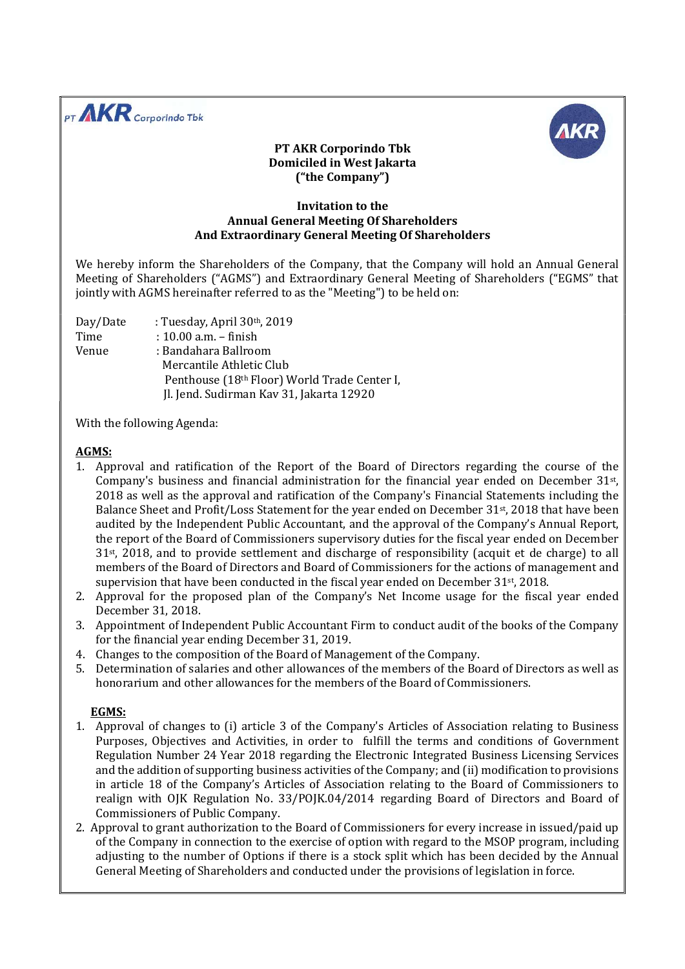



## PT AKR Corporindo Tbk Domiciled in West Jakarta ("the Company")

## Invitation to the Annual General Meeting Of Shareholders And Extraordinary General Meeting Of Shareholders

We hereby inform the Shareholders of the Company, that the Company will hold an Annual General Meeting of Shareholders ("AGMS") and Extraordinary General Meeting of Shareholders ("EGMS" that jointly with AGMS hereinafter referred to as the "Meeting") to be held on:

Day/Date : Tuesday, April 30th, 2019 Time : 10.00 a.m. – finish Venue : Bandahara Ballroom Mercantile Athletic Club Penthouse (18th Floor) World Trade Center I, Jl. Jend. Sudirman Kav 31, Jakarta 12920

With the following Agenda:

## AGMS:

- 1. Approval and ratification of the Report of the Board of Directors regarding the course of the Company's business and financial administration for the financial year ended on December 31<sup>st</sup>, 2018 as well as the approval and ratification of the Company's Financial Statements including the Balance Sheet and Profit/Loss Statement for the year ended on December 31st, 2018 that have been audited by the Independent Public Accountant, and the approval of the Company's Annual Report, the report of the Board of Commissioners supervisory duties for the fiscal year ended on December 31<sup>st</sup>, 2018, and to provide settlement and discharge of responsibility (acquit et de charge) to all members of the Board of Directors and Board of Commissioners for the actions of management and supervision that have been conducted in the fiscal year ended on December  $31<sup>st</sup>$ , 2018.
- 2. Approval for the proposed plan of the Company's Net Income usage for the fiscal year ended December 31, 2018.
- 3. Appointment of Independent Public Accountant Firm to conduct audit of the books of the Company for the financial year ending December 31, 2019.
- 4. Changes to the composition of the Board of Management of the Company.
- 5. Determination of salaries and other allowances of the members of the Board of Directors as well as honorarium and other allowances for the members of the Board of Commissioners.

## EGMS:

- 1. Approval of changes to (i) article 3 of the Company's Articles of Association relating to Business Purposes, Objectives and Activities, in order to fulfill the terms and conditions of Government Regulation Number 24 Year 2018 regarding the Electronic Integrated Business Licensing Services and the addition of supporting business activities of the Company; and (ii) modification to provisions in article 18 of the Company's Articles of Association relating to the Board of Commissioners to realign with OJK Regulation No. 33/POJK.04/2014 regarding Board of Directors and Board of Commissioners of Public Company.
- 2. Approval to grant authorization to the Board of Commissioners for every increase in issued/paid up of the Company in connection to the exercise of option with regard to the MSOP program, including adjusting to the number of Options if there is a stock split which has been decided by the Annual General Meeting of Shareholders and conducted under the provisions of legislation in force.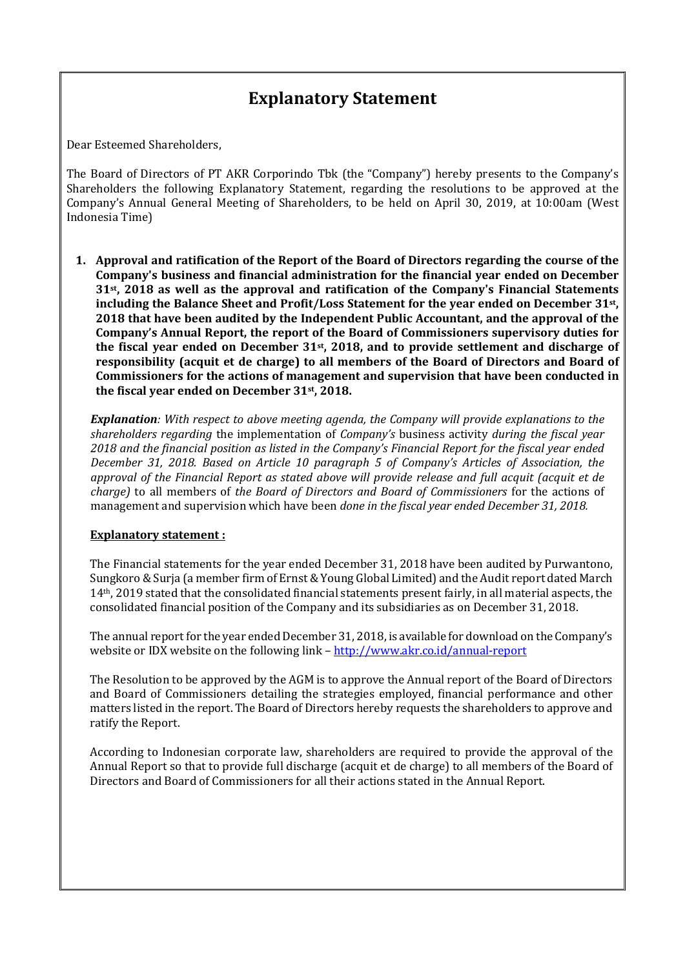# Explanatory Statement

Dear Esteemed Shareholders,

The Board of Directors of PT AKR Corporindo Tbk (the "Company") hereby presents to the Company's Shareholders the following Explanatory Statement, regarding the resolutions to be approved at the Company's Annual General Meeting of Shareholders, to be held on April 30, 2019, at 10:00am (West Indonesia Time)

1. Approval and ratification of the Report of the Board of Directors regarding the course of the Company's business and financial administration for the financial year ended on December 31st, 2018 as well as the approval and ratification of the Company's Financial Statements including the Balance Sheet and Profit/Loss Statement for the year ended on December 31st, 2018 that have been audited by the Independent Public Accountant, and the approval of the Company's Annual Report, the report of the Board of Commissioners supervisory duties for the fiscal year ended on December  $31st$ , 2018, and to provide settlement and discharge of responsibility (acquit et de charge) to all members of the Board of Directors and Board of Commissioners for the actions of management and supervision that have been conducted in the fiscal year ended on December 31st, 2018.

**Explanation**: With respect to above meeting agenda, the Company will provide explanations to the shareholders regarding the implementation of Company's business activity during the fiscal year 2018 and the financial position as listed in the Company's Financial Report for the fiscal year ended December 31, 2018. Based on Article 10 paragraph 5 of Company's Articles of Association, the approval of the Financial Report as stated above will provide release and full acquit (acquit et de charge) to all members of the Board of Directors and Board of Commissioners for the actions of management and supervision which have been done in the fiscal year ended December 31, 2018.

#### Explanatory statement :

The Financial statements for the year ended December 31, 2018 have been audited by Purwantono, Sungkoro & Surja (a member firm of Ernst & Young Global Limited) and the Audit report dated March 14th, 2019 stated that the consolidated financial statements present fairly, in all material aspects, the consolidated financial position of the Company and its subsidiaries as on December 31, 2018.

The annual report for the year ended December 31, 2018, is available for download on the Company's website or IDX website on the following link – http://www.akr.co.id/annual-report

The Resolution to be approved by the AGM is to approve the Annual report of the Board of Directors and Board of Commissioners detailing the strategies employed, financial performance and other matters listed in the report. The Board of Directors hereby requests the shareholders to approve and ratify the Report.

According to Indonesian corporate law, shareholders are required to provide the approval of the Annual Report so that to provide full discharge (acquit et de charge) to all members of the Board of Directors and Board of Commissioners for all their actions stated in the Annual Report.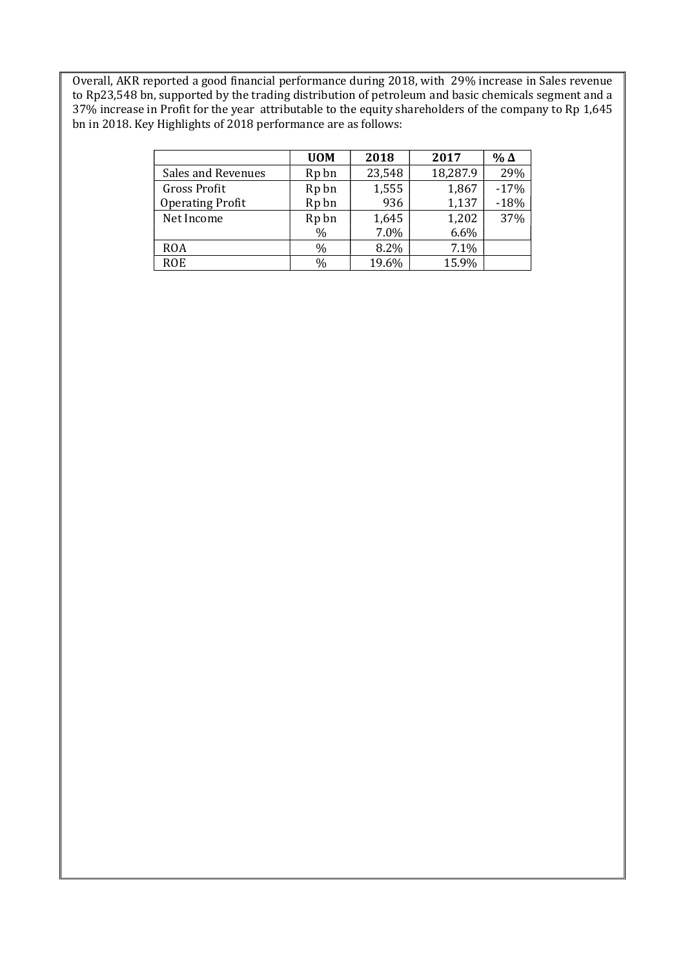Overall, AKR reported a good financial performance during 2018, with 29% increase in Sales revenue to Rp23,548 bn, supported by the trading distribution of petroleum and basic chemicals segment and a 37% increase in Profit for the year attributable to the equity shareholders of the company to Rp 1,645 bn in 2018. Key Highlights of 2018 performance are as follows:

|                         | <b>UOM</b>        | 2018   | 2017     | %Δ     |
|-------------------------|-------------------|--------|----------|--------|
| Sales and Revenues      | Rp bn             | 23,548 | 18,287.9 | 29%    |
| <b>Gross Profit</b>     | R <sub>p</sub> bn | 1,555  | 1,867    | $-17%$ |
| <b>Operating Profit</b> | Rp bn             | 936    | 1,137    | $-18%$ |
| Net Income              | Rp bn             | 1,645  | 1,202    | 37%    |
|                         | $\%$              | 7.0%   | 6.6%     |        |
| <b>ROA</b>              | $\%$              | 8.2%   | 7.1%     |        |
| <b>ROE</b>              | $\%$              | 19.6%  | 15.9%    |        |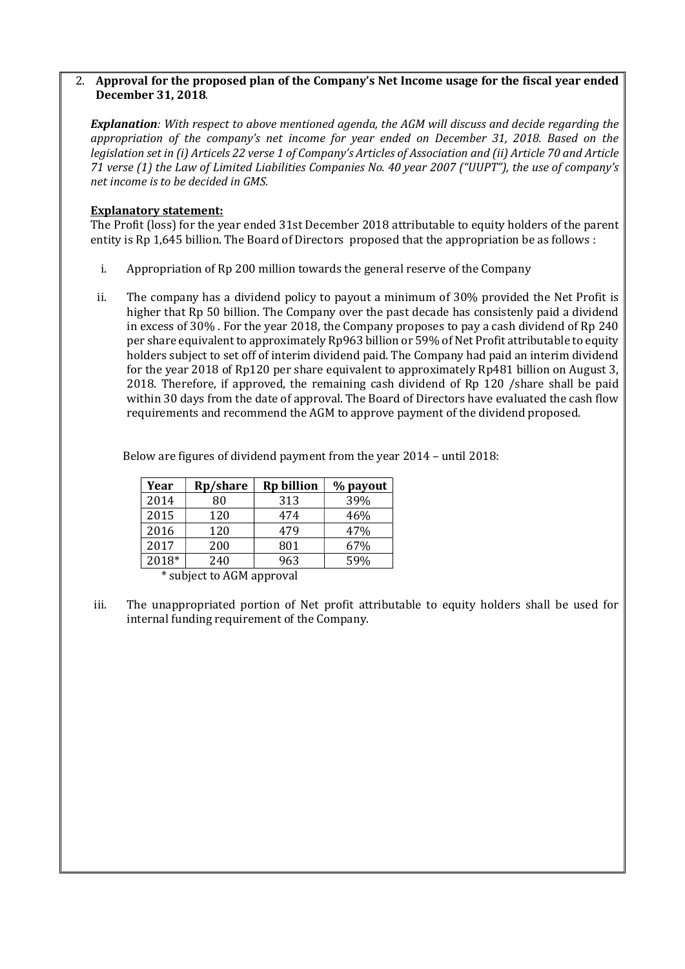## 2. Approval for the proposed plan of the Company's Net Income usage for the fiscal year ended December 31, 2018.

Explanation: With respect to above mentioned agenda, the AGM will discuss and decide regarding the appropriation of the company's net income for year ended on December 31, 2018. Based on the legislation set in (i) Articels 22 verse 1 of Company's Articles of Association and (ii) Article 70 and Article 71 verse (1) the Law of Limited Liabilities Companies No. 40 year 2007 ("UUPT"), the use of company's net income is to be decided in GMS.

## Explanatory statement:

The Profit (loss) for the year ended 31st December 2018 attributable to equity holders of the parent entity is Rp 1,645 billion. The Board of Directors proposed that the appropriation be as follows :

- i. Appropriation of Rp 200 million towards the general reserve of the Company
- ii. The company has a dividend policy to payout a minimum of 30% provided the Net Profit is higher that Rp 50 billion. The Company over the past decade has consistenly paid a dividend in excess of 30% . For the year 2018, the Company proposes to pay a cash dividend of Rp 240 per share equivalent to approximately Rp963 billion or 59% of Net Profit attributable to equity holders subject to set off of interim dividend paid. The Company had paid an interim dividend for the year 2018 of Rp120 per share equivalent to approximately Rp481 billion on August 3, 2018. Therefore, if approved, the remaining cash dividend of Rp 120 /share shall be paid within 30 days from the date of approval. The Board of Directors have evaluated the cash flow requirements and recommend the AGM to approve payment of the dividend proposed.

Below are figures of dividend payment from the year 2014 – until 2018:

| Rp/share | <b>Rp billion</b> | % payout |
|----------|-------------------|----------|
| 80       | 313               | 39%      |
| 120      | 474               | 46%      |
| 120      | 479               | 47%      |
| 200      | 801               | 67%      |
| 240      | 963               | 59%      |
|          |                   |          |

\* subject to AGM approval

iii. The unappropriated portion of Net profit attributable to equity holders shall be used for internal funding requirement of the Company.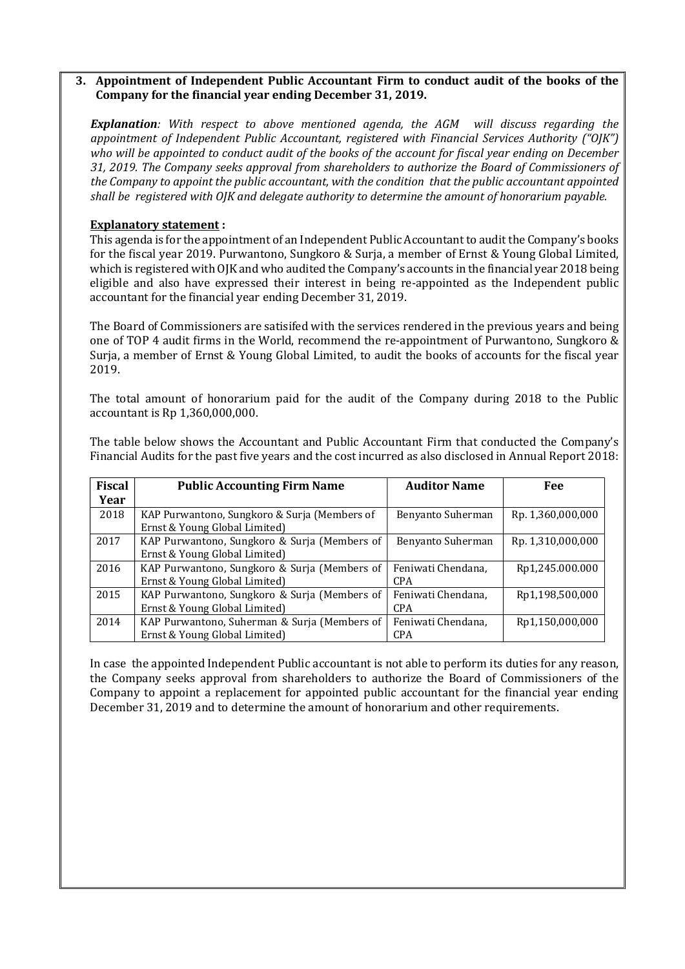## 3. Appointment of Independent Public Accountant Firm to conduct audit of the books of the Company for the financial year ending December 31, 2019.

Explanation: With respect to above mentioned agenda, the AGM will discuss regarding the appointment of Independent Public Accountant, registered with Financial Services Authority ("OJK") who will be appointed to conduct audit of the books of the account for fiscal year ending on December 31, 2019. The Company seeks approval from shareholders to authorize the Board of Commissioners of the Company to appoint the public accountant, with the condition that the public accountant appointed shall be registered with OJK and delegate authority to determine the amount of honorarium payable.

## Explanatory statement :

This agenda is for the appointment of an Independent Public Accountant to audit the Company's books for the fiscal year 2019. Purwantono, Sungkoro & Surja, a member of Ernst & Young Global Limited, which is registered with OJK and who audited the Company's accounts in the financial year 2018 being eligible and also have expressed their interest in being re-appointed as the Independent public accountant for the financial year ending December 31, 2019.

The Board of Commissioners are satisifed with the services rendered in the previous years and being one of TOP 4 audit firms in the World, recommend the re-appointment of Purwantono, Sungkoro & Surja, a member of Ernst & Young Global Limited, to audit the books of accounts for the fiscal year 2019.

The total amount of honorarium paid for the audit of the Company during 2018 to the Public accountant is Rp 1,360,000,000.

| The table below shows the Accountant and Public Accountant Firm that conducted the Company's            |
|---------------------------------------------------------------------------------------------------------|
| Financial Audits for the past five years and the cost incurred as also disclosed in Annual Report 2018: |
|                                                                                                         |

| <b>Fiscal</b> | <b>Public Accounting Firm Name</b>           | <b>Auditor Name</b> | Fee               |
|---------------|----------------------------------------------|---------------------|-------------------|
| Year          |                                              |                     |                   |
| 2018          | KAP Purwantono, Sungkoro & Surja (Members of | Benyanto Suherman   | Rp. 1,360,000,000 |
|               | Ernst & Young Global Limited)                |                     |                   |
| 2017          | KAP Purwantono, Sungkoro & Surja (Members of | Benyanto Suherman   | Rp. 1,310,000,000 |
|               | Ernst & Young Global Limited)                |                     |                   |
| 2016          | KAP Purwantono, Sungkoro & Surja (Members of | Feniwati Chendana,  | Rp1,245.000.000   |
|               | Ernst & Young Global Limited)                | <b>CPA</b>          |                   |
| 2015          | KAP Purwantono, Sungkoro & Surja (Members of | Feniwati Chendana,  | Rp1,198,500,000   |
|               | Ernst & Young Global Limited)                | <b>CPA</b>          |                   |
| 2014          | KAP Purwantono, Suherman & Surja (Members of | Feniwati Chendana,  | Rp1,150,000,000   |
|               | Ernst & Young Global Limited)                | <b>CPA</b>          |                   |

In case the appointed Independent Public accountant is not able to perform its duties for any reason, the Company seeks approval from shareholders to authorize the Board of Commissioners of the Company to appoint a replacement for appointed public accountant for the financial year ending December 31, 2019 and to determine the amount of honorarium and other requirements.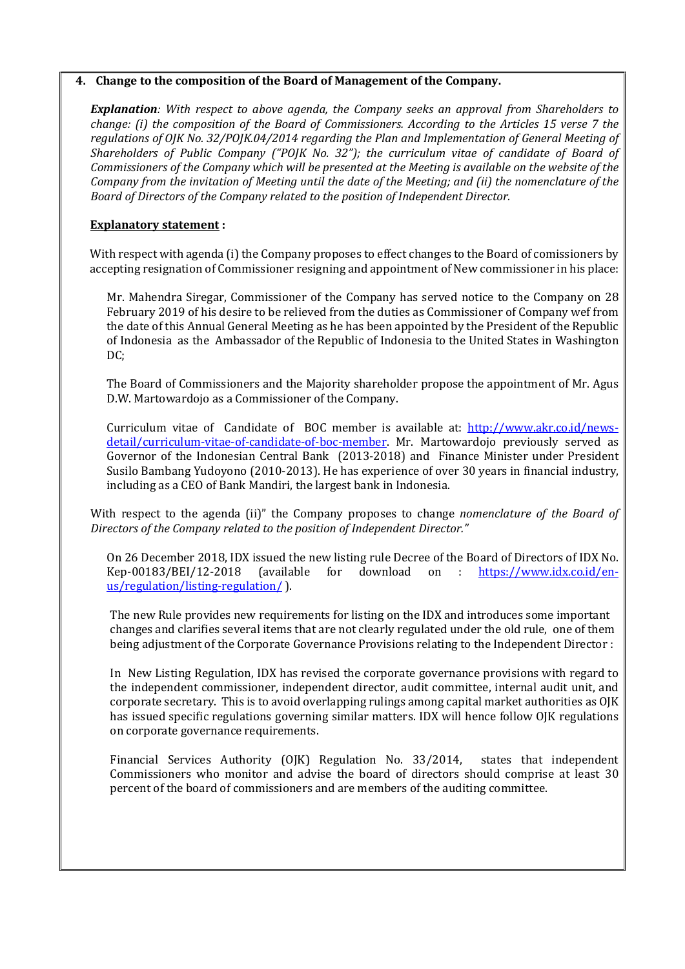#### 4. Change to the composition of the Board of Management of the Company.

**Explanation**: With respect to above agenda, the Company seeks an approval from Shareholders to change: (i) the composition of the Board of Commissioners. According to the Articles 15 verse 7 the regulations of OJK No. 32/POJK.04/2014 regarding the Plan and Implementation of General Meeting of Shareholders of Public Company ("POJK No. 32"); the curriculum vitae of candidate of Board of Commissioners of the Company which will be presented at the Meeting is available on the website of the Company from the invitation of Meeting until the date of the Meeting; and (ii) the nomenclature of the Board of Directors of the Company related to the position of Independent Director.

## Explanatory statement :

With respect with agenda (i) the Company proposes to effect changes to the Board of comissioners by accepting resignation of Commissioner resigning and appointment of New commissioner in his place:

Mr. Mahendra Siregar, Commissioner of the Company has served notice to the Company on 28 February 2019 of his desire to be relieved from the duties as Commissioner of Company wef from the date of this Annual General Meeting as he has been appointed by the President of the Republic of Indonesia as the Ambassador of the Republic of Indonesia to the United States in Washington DC;

The Board of Commissioners and the Majority shareholder propose the appointment of Mr. Agus D.W. Martowardojo as a Commissioner of the Company.

Curriculum vitae of Candidate of BOC member is available at: http://www.akr.co.id/newsdetail/curriculum-vitae-of-candidate-of-boc-member. Mr. Martowardojo previously served as Governor of the Indonesian Central Bank (2013-2018) and Finance Minister under President Susilo Bambang Yudoyono (2010-2013). He has experience of over 30 years in financial industry, including as a CEO of Bank Mandiri, the largest bank in Indonesia.

With respect to the agenda (ii)" the Company proposes to change *nomenclature of the Board of* Directors of the Company related to the position of Independent Director."

On 26 December 2018, IDX issued the new listing rule Decree of the Board of Directors of IDX No. Kep-00183/BEI/12-2018 (available for download on : https://www.idx.co.id/enus/regulation/listing-regulation/ ).

The new Rule provides new requirements for listing on the IDX and introduces some important changes and clarifies several items that are not clearly regulated under the old rule, one of them being adjustment of the Corporate Governance Provisions relating to the Independent Director :

In New Listing Regulation, IDX has revised the corporate governance provisions with regard to the independent commissioner, independent director, audit committee, internal audit unit, and corporate secretary. This is to avoid overlapping rulings among capital market authorities as OJK has issued specific regulations governing similar matters. IDX will hence follow OJK regulations on corporate governance requirements.

Financial Services Authority (OJK) Regulation No. 33/2014, states that independent Commissioners who monitor and advise the board of directors should comprise at least 30 percent of the board of commissioners and are members of the auditing committee.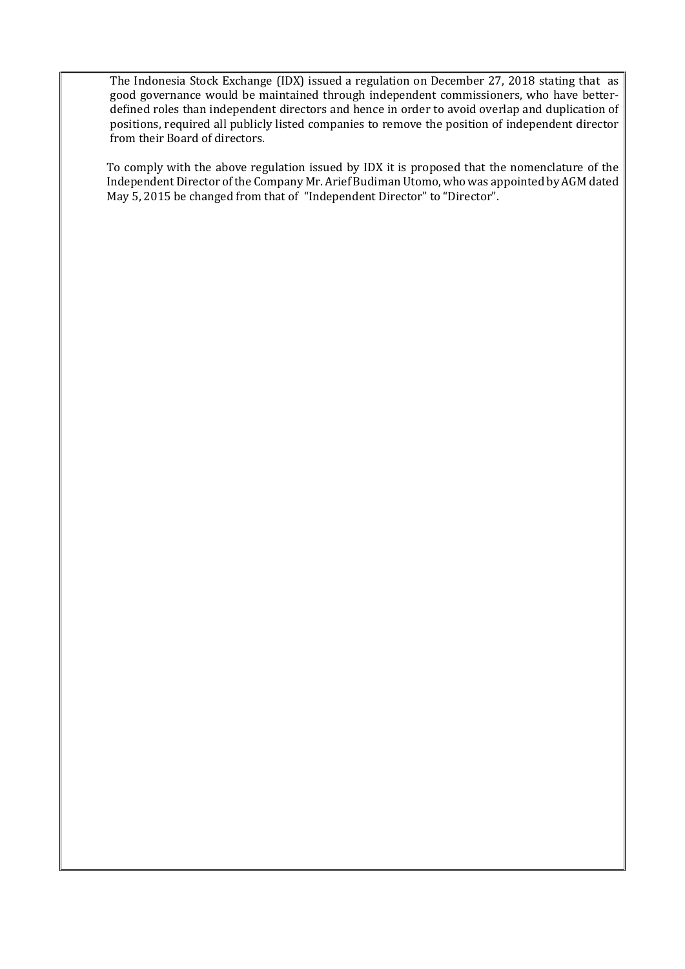The Indonesia Stock Exchange (IDX) issued a regulation on December 27, 2018 stating that as good governance would be maintained through independent commissioners, who have betterdefined roles than independent directors and hence in order to avoid overlap and duplication of positions, required all publicly listed companies to remove the position of independent director from their Board of directors.

To comply with the above regulation issued by IDX it is proposed that the nomenclature of the Independent Director of the Company Mr. Arief Budiman Utomo, who was appointed by AGM dated May 5, 2015 be changed from that of "Independent Director" to "Director".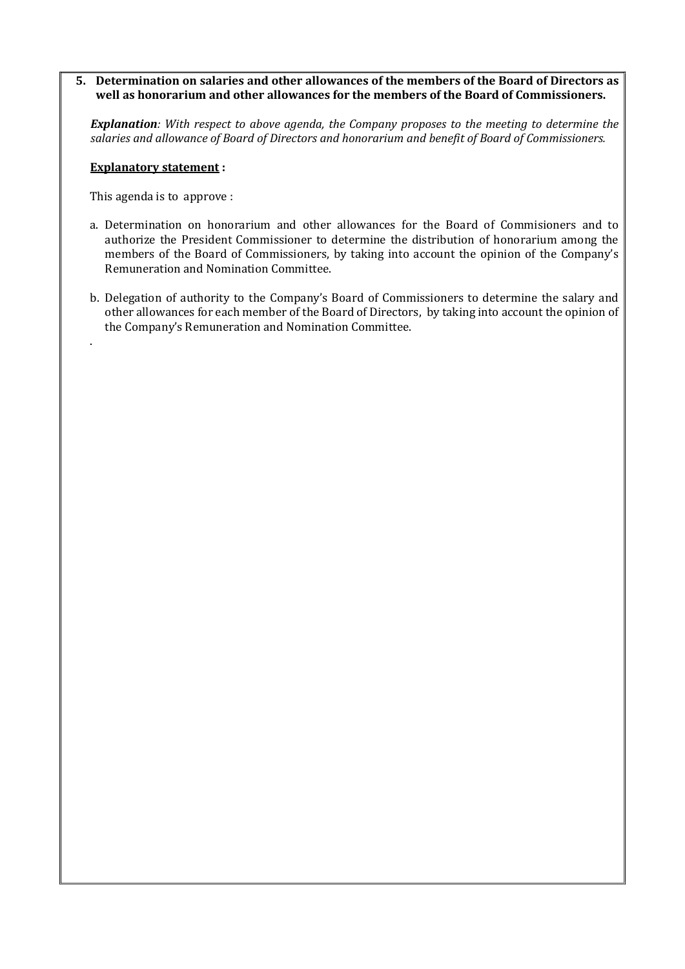## 5. Determination on salaries and other allowances of the members of the Board of Directors as well as honorarium and other allowances for the members of the Board of Commissioners.

**Explanation**: With respect to above agenda, the Company proposes to the meeting to determine the salaries and allowance of Board of Directors and honorarium and benefit of Board of Commissioners.

#### Explanatory statement :

This agenda is to approve :

.

- a. Determination on honorarium and other allowances for the Board of Commisioners and to authorize the President Commissioner to determine the distribution of honorarium among the members of the Board of Commissioners, by taking into account the opinion of the Company's Remuneration and Nomination Committee.
- b. Delegation of authority to the Company's Board of Commissioners to determine the salary and other allowances for each member of the Board of Directors, by taking into account the opinion of the Company's Remuneration and Nomination Committee.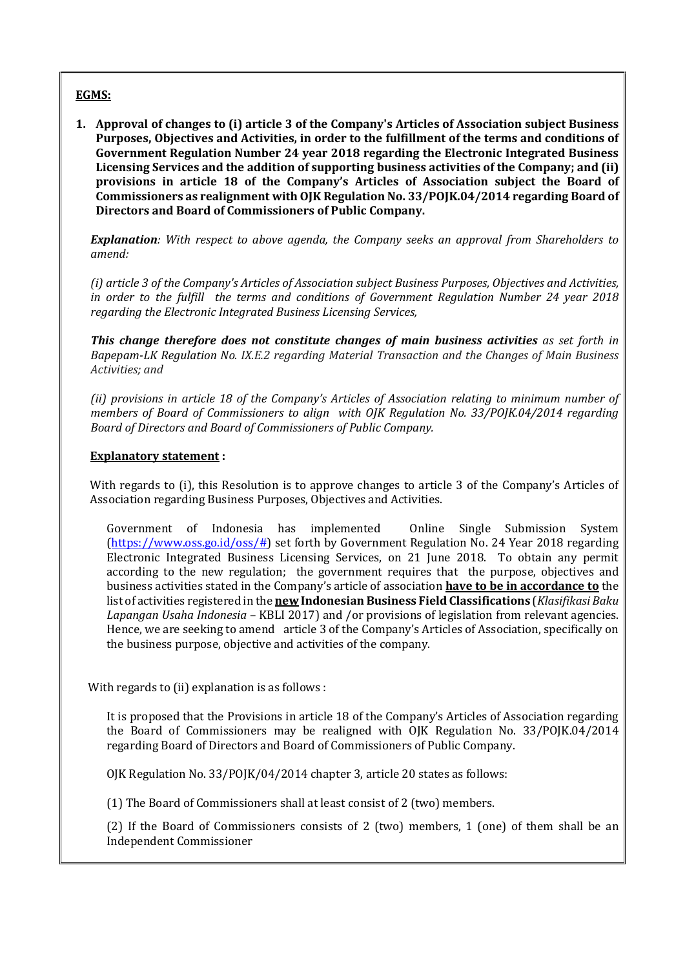## EGMS:

1. Approval of changes to (i) article 3 of the Company's Articles of Association subject Business Purposes, Objectives and Activities, in order to the fulfillment of the terms and conditions of Government Regulation Number 24 year 2018 regarding the Electronic Integrated Business Licensing Services and the addition of supporting business activities of the Company; and (ii) provisions in article 18 of the Company's Articles of Association subject the Board of Commissioners as realignment with OJK Regulation No. 33/POJK.04/2014 regarding Board of Directors and Board of Commissioners of Public Company.

**Explanation**: With respect to above agenda, the Company seeks an approval from Shareholders to amend:

(i) article 3 of the Company's Articles of Association subject Business Purposes, Objectives and Activities, in order to the fulfill the terms and conditions of Government Regulation Number 24 year 2018 regarding the Electronic Integrated Business Licensing Services,

This change therefore does not constitute changes of main business activities as set forth in Bapepam-LK Regulation No. IX.E.2 regarding Material Transaction and the Changes of Main Business Activities; and

(ii) provisions in article 18 of the Company's Articles of Association relating to minimum number of members of Board of Commissioners to align with OJK Regulation No. 33/POJK.04/2014 regarding Board of Directors and Board of Commissioners of Public Company.

#### Explanatory statement :

With regards to (i), this Resolution is to approve changes to article 3 of the Company's Articles of Association regarding Business Purposes, Objectives and Activities.

Government of Indonesia has implemented Online Single Submission System (https://www.oss.go.id/oss/#) set forth by Government Regulation No. 24 Year 2018 regarding Electronic Integrated Business Licensing Services, on 21 June 2018. To obtain any permit according to the new regulation; the government requires that the purpose, objectives and business activities stated in the Company's article of association have to be in accordance to the list of activities registered in the **new Indonesian Business Field Classifications** (*Klasifikasi Baku* Lapangan Usaha Indonesia – KBLI 2017) and /or provisions of legislation from relevant agencies. Hence, we are seeking to amend article 3 of the Company's Articles of Association, specifically on the business purpose, objective and activities of the company.

With regards to (ii) explanation is as follows :

It is proposed that the Provisions in article 18 of the Company's Articles of Association regarding the Board of Commissioners may be realigned with OJK Regulation No. 33/POJK.04/2014 regarding Board of Directors and Board of Commissioners of Public Company.

OJK Regulation No. 33/POJK/04/2014 chapter 3, article 20 states as follows:

(1) The Board of Commissioners shall at least consist of 2 (two) members.

(2) If the Board of Commissioners consists of 2 (two) members, 1 (one) of them shall be an Independent Commissioner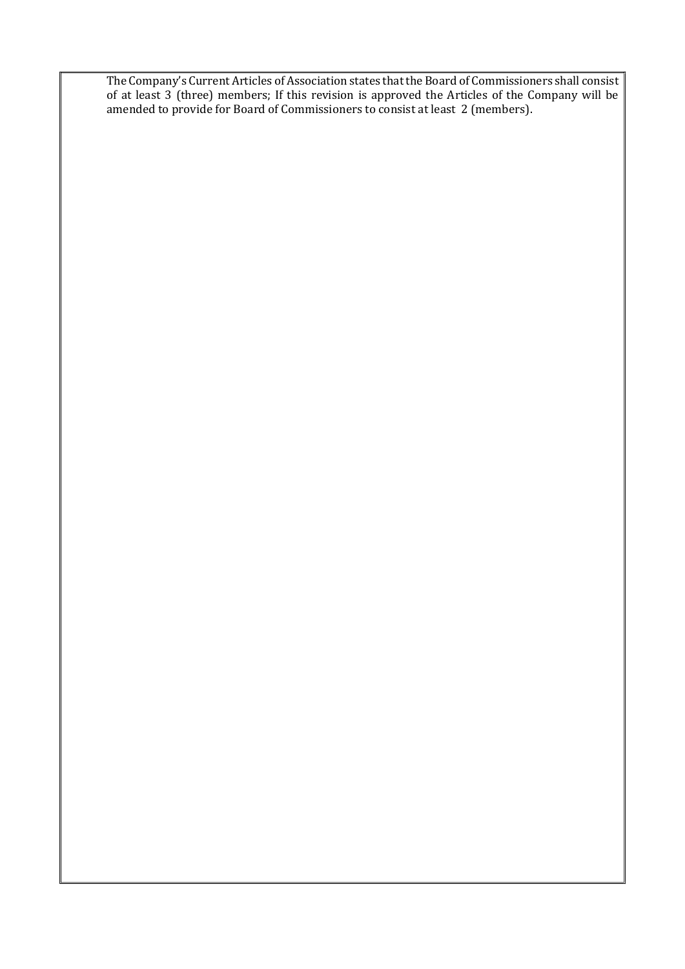The Company's Current Articles of Association states that the Board of Commissioners shall consist of at least 3 (three) members; If this revision is approved the Articles of the Company will be amended to provide for Board of Commissioners to consist at least 2 (members).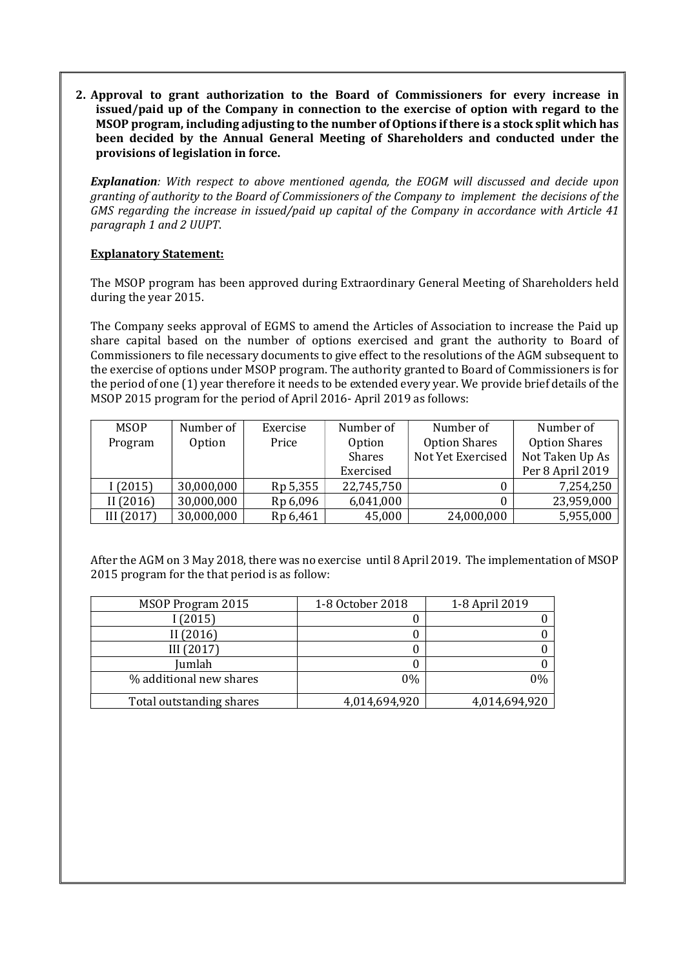2. Approval to grant authorization to the Board of Commissioners for every increase in issued/paid up of the Company in connection to the exercise of option with regard to the MSOP program, including adjusting to the number of Options if there is a stock split which has been decided by the Annual General Meeting of Shareholders and conducted under the provisions of legislation in force.

Explanation: With respect to above mentioned agenda, the EOGM will discussed and decide upon granting of authority to the Board of Commissioners of the Company to implement the decisions of the GMS regarding the increase in issued/paid up capital of the Company in accordance with Article 41 paragraph 1 and 2 UUPT.

## Explanatory Statement:

The MSOP program has been approved during Extraordinary General Meeting of Shareholders held during the year 2015.

The Company seeks approval of EGMS to amend the Articles of Association to increase the Paid up share capital based on the number of options exercised and grant the authority to Board of Commissioners to file necessary documents to give effect to the resolutions of the AGM subsequent to the exercise of options under MSOP program. The authority granted to Board of Commissioners is for the period of one (1) year therefore it needs to be extended every year. We provide brief details of the MSOP 2015 program for the period of April 2016- April 2019 as follows:

| <b>MSOP</b> | Number of  | Exercise | Number of     | Number of            | Number of            |
|-------------|------------|----------|---------------|----------------------|----------------------|
| Program     | Option     | Price    | <b>Option</b> | <b>Option Shares</b> | <b>Option Shares</b> |
|             |            |          | <b>Shares</b> | Not Yet Exercised    | Not Taken Up As      |
|             |            |          | Exercised     |                      | Per 8 April 2019     |
| 1(2015)     | 30,000,000 | Rp 5,355 | 22,745,750    |                      | 7,254,250            |
| II(2016)    | 30,000,000 | Rp 6,096 | 6,041,000     |                      | 23,959,000           |
| III (2017)  | 30,000,000 | Rp 6,461 | 45,000        | 24,000,000           | 5,955,000            |

After the AGM on 3 May 2018, there was no exercise until 8 April 2019. The implementation of MSOP 2015 program for the that period is as follow:

| MSOP Program 2015        | 1-8 October 2018 | 1-8 April 2019 |
|--------------------------|------------------|----------------|
| (2015)                   |                  |                |
| II (2016)                |                  |                |
| III(2017)                |                  |                |
| Jumlah                   |                  |                |
| % additional new shares  | $0\%$            | 0%             |
| Total outstanding shares | 4,014,694,920    | 4,014,694,920  |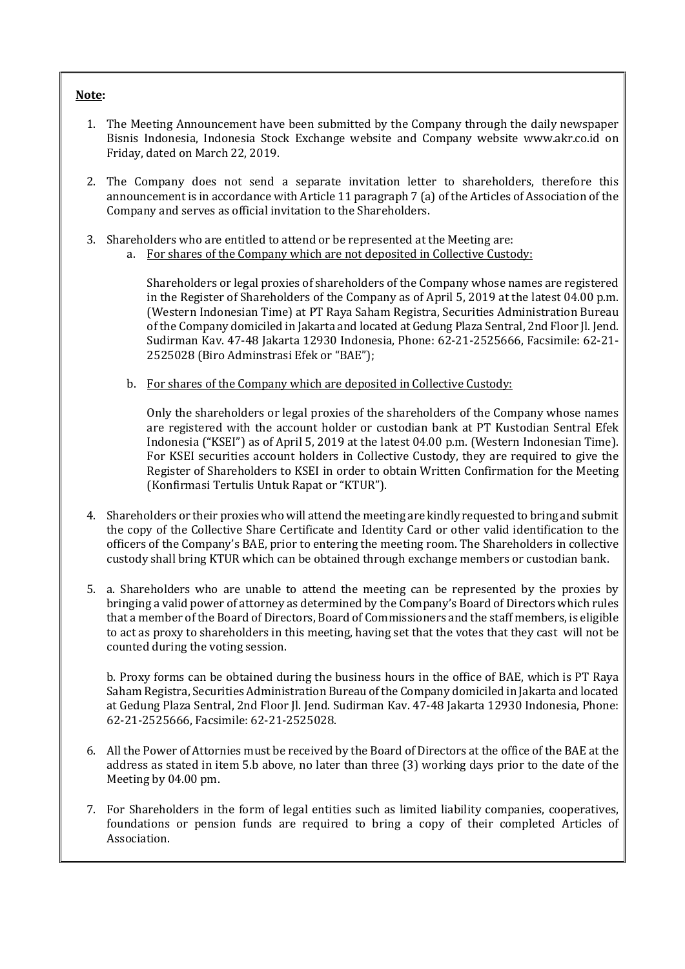#### Note:

- 1. The Meeting Announcement have been submitted by the Company through the daily newspaper Bisnis Indonesia, Indonesia Stock Exchange website and Company website www.akr.co.id on Friday, dated on March 22, 2019.
- 2. The Company does not send a separate invitation letter to shareholders, therefore this announcement is in accordance with Article 11 paragraph 7 (a) of the Articles of Association of the Company and serves as official invitation to the Shareholders.
- 3. Shareholders who are entitled to attend or be represented at the Meeting are:
	- a. For shares of the Company which are not deposited in Collective Custody:

Shareholders or legal proxies of shareholders of the Company whose names are registered in the Register of Shareholders of the Company as of April 5, 2019 at the latest 04.00 p.m. (Western Indonesian Time) at PT Raya Saham Registra, Securities Administration Bureau of the Company domiciled in Jakarta and located at Gedung Plaza Sentral, 2nd Floor Jl. Jend. Sudirman Kav. 47-48 Jakarta 12930 Indonesia, Phone: 62-21-2525666, Facsimile: 62-21- 2525028 (Biro Adminstrasi Efek or "BAE");

b. For shares of the Company which are deposited in Collective Custody:

Only the shareholders or legal proxies of the shareholders of the Company whose names are registered with the account holder or custodian bank at PT Kustodian Sentral Efek Indonesia ("KSEI") as of April 5, 2019 at the latest 04.00 p.m. (Western Indonesian Time). For KSEI securities account holders in Collective Custody, they are required to give the Register of Shareholders to KSEI in order to obtain Written Confirmation for the Meeting (Konfirmasi Tertulis Untuk Rapat or "KTUR").

- 4. Shareholders or their proxies who will attend the meeting are kindly requested to bring and submit the copy of the Collective Share Certificate and Identity Card or other valid identification to the officers of the Company's BAE, prior to entering the meeting room. The Shareholders in collective custody shall bring KTUR which can be obtained through exchange members or custodian bank.
- 5. a. Shareholders who are unable to attend the meeting can be represented by the proxies by bringing a valid power of attorney as determined by the Company's Board of Directors which rules that a member of the Board of Directors, Board of Commissioners and the staff members, is eligible to act as proxy to shareholders in this meeting, having set that the votes that they cast will not be counted during the voting session.

b. Proxy forms can be obtained during the business hours in the office of BAE, which is PT Raya Saham Registra, Securities Administration Bureau of the Company domiciled in Jakarta and located at Gedung Plaza Sentral, 2nd Floor Jl. Jend. Sudirman Kav. 47-48 Jakarta 12930 Indonesia, Phone: 62-21-2525666, Facsimile: 62-21-2525028.

- 6. All the Power of Attornies must be received by the Board of Directors at the office of the BAE at the address as stated in item 5.b above, no later than three (3) working days prior to the date of the Meeting by 04.00 pm.
- 7. For Shareholders in the form of legal entities such as limited liability companies, cooperatives, foundations or pension funds are required to bring a copy of their completed Articles of Association.